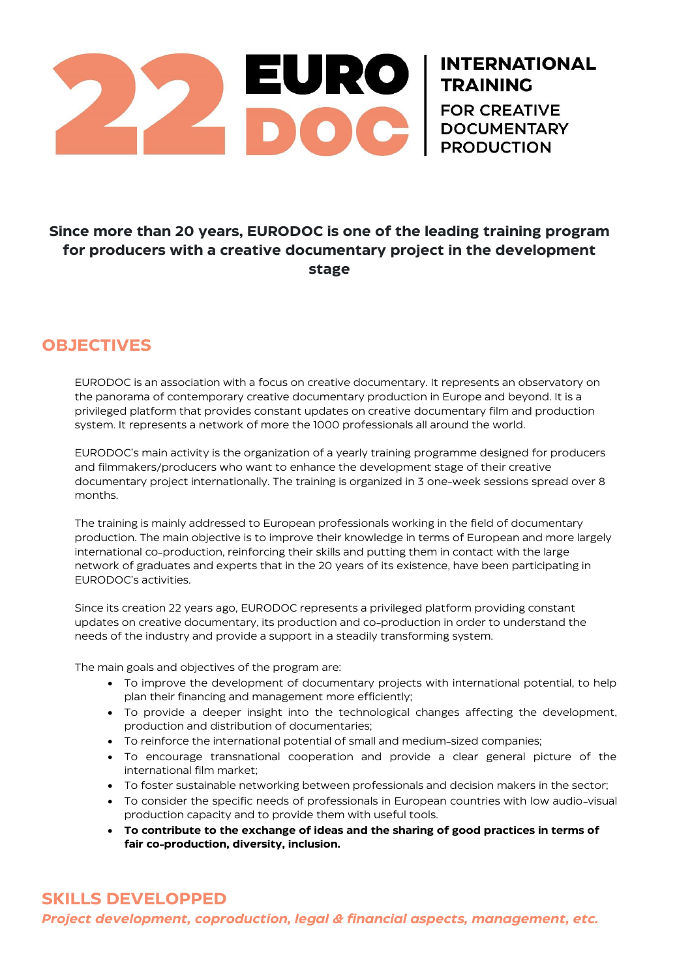

# **TRAINING<br>FOR CREATIVE DOCUMENTARY**

**INTERNATIONAL** 

## **Since more than 20 years, EURODOC is one of the leading training program for producers with a creative documentary project in the development stage**

# **OBJECTIVES**

EURODOC is an association with a focus on creative documentary. It represents an observatory on the panorama of contemporary creative documentary production in Europe and beyond. It is a privileged platform that provides constant updates on creative documentary film and production system. It represents a network of more the 1000 professionals all around the world.

EURODOC's main activity is the organization of a yearly training programme designed for producers and filmmakers/producers who want to enhance the development stage of their creative documentary project internationally. The training is organized in 3 one-week sessions spread over 8 months.

The training is mainly addressed to European professionals working in the field of documentary production. The main objective is to improve their knowledge in terms of European and more largely international co-production, reinforcing their skills and putting them in contact with the large network of graduates and experts that in the 20 years of its existence, have been participating in EURODOC's activities.

Since its creation 22 years ago, EURODOC represents a privileged platform providing constant updates on creative documentary, its production and co-production in order to understand the needs of the industry and provide a support in a steadily transforming system.

The main goals and objectives of the program are:

- To improve the development of documentary projects with international potential, to help plan their financing and management more efficiently;
- To provide a deeper insight into the technological changes affecting the development, production and distribution of documentaries;
- To reinforce the international potential of small and medium-sized companies;
- To encourage transnational cooperation and provide a clear general picture of the international film market;
- To foster sustainable networking between professionals and decision makers in the sector;
- To consider the specific needs of professionals in European countries with low audio-visual production capacity and to provide them with useful tools.
- **To contribute to the exchange of ideas and the sharing of good practices in terms of fair co-production, diversity, inclusion.**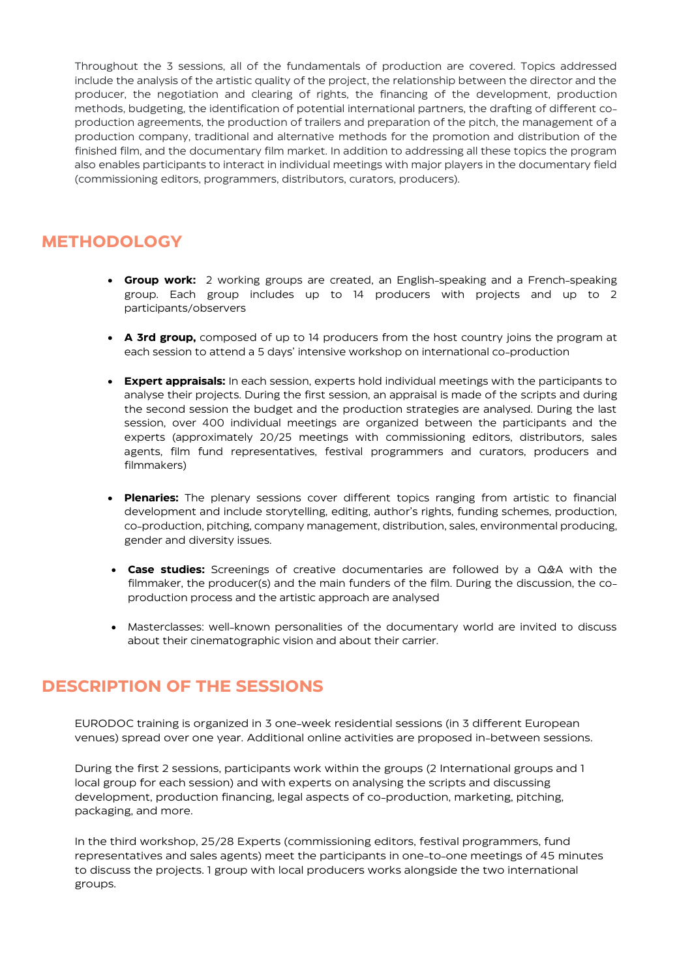Throughout the 3 sessions, all of the fundamentals of production are covered. Topics addressed include the analysis of the artistic quality of the project, the relationship between the director and the producer, the negotiation and clearing of rights, the financing of the development, production methods, budgeting, the identification of potential international partners, the drafting of different coproduction agreements, the production of trailers and preparation of the pitch, the management of a production company, traditional and alternative methods for the promotion and distribution of the finished film, and the documentary film market. In addition to addressing all these topics the program also enables participants to interact in individual meetings with major players in the documentary field (commissioning editors, programmers, distributors, curators, producers).

# **METHODOLOGY**

- **Group work:** 2 working groups are created, an English-speaking and a French-speaking group. Each group includes up to 14 producers with projects and up to 2 participants/observers
- **A 3rd group,** composed of up to 14 producers from the host country joins the program at each session to attend a 5 days' intensive workshop on international co-production
- **Expert appraisals:** In each session, experts hold individual meetings with the participants to analyse their projects. During the first session, an appraisal is made of the scripts and during the second session the budget and the production strategies are analysed. During the last session, over 400 individual meetings are organized between the participants and the experts (approximately 20/25 meetings with commissioning editors, distributors, sales agents, film fund representatives, festival programmers and curators, producers and filmmakers)
- **Plenaries:** The plenary sessions cover different topics ranging from artistic to financial development and include storytelling, editing, author's rights, funding schemes, production, co-production, pitching, company management, distribution, sales, environmental producing, gender and diversity issues.
- **Case studies:** Screenings of creative documentaries are followed by a Q&A with the filmmaker, the producer(s) and the main funders of the film. During the discussion, the coproduction process and the artistic approach are analysed
- Masterclasses: well-known personalities of the documentary world are invited to discuss about their cinematographic vision and about their carrier.

### **DESCRIPTION OF THE SESSIONS**

EURODOC training is organized in 3 one-week residential sessions (in 3 different European venues) spread over one year. Additional online activities are proposed in-between sessions.

During the first 2 sessions, participants work within the groups (2 International groups and 1 local group for each session) and with experts on analysing the scripts and discussing development, production financing, legal aspects of co-production, marketing, pitching, packaging, and more.

In the third workshop, 25/28 Experts (commissioning editors, festival programmers, fund representatives and sales agents) meet the participants in one-to-one meetings of 45 minutes to discuss the projects. 1 group with local producers works alongside the two international groups.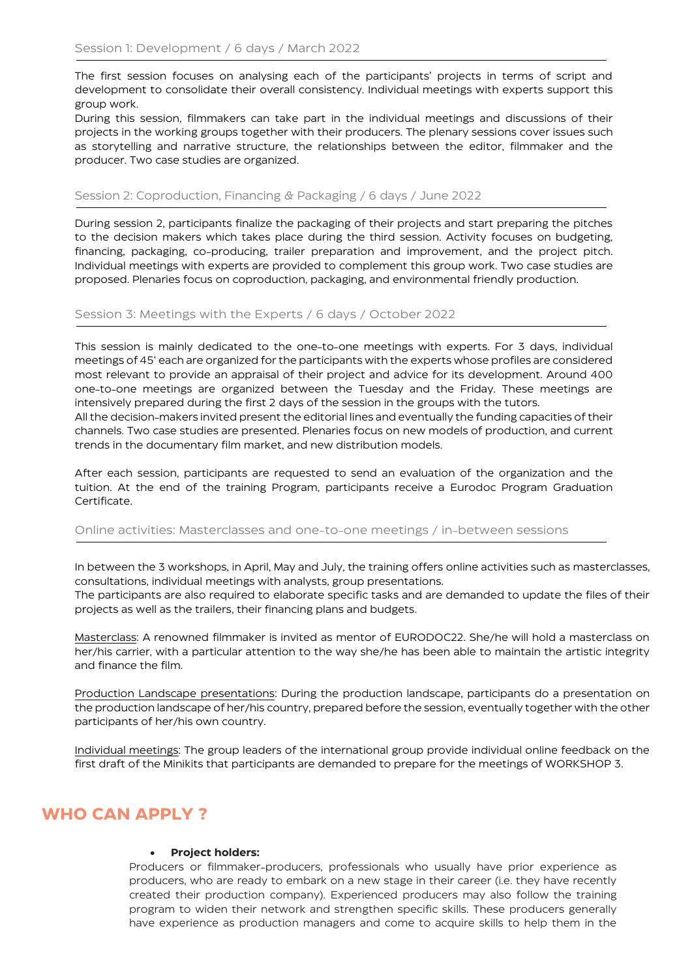The first session focuses on analysing each of the participants' projects in terms of script and development to consolidate their overall consistency. Individual meetings with experts support this group work.

During this session, filmmakers can take part in the individual meetings and discussions of their projects in the working groups together with their producers. The plenary sessions cover issues such as storytelling and narrative structure, the relationships between the editor, filmmaker and the producer. Two case studies are organized.

#### Session 2: Coproduction, Financing & Packaging / 6 days / June 2022

During session 2, participants finalize the packaging of their projects and start preparing the pitches to the decision makers which takes place during the third session. Activity focuses on budgeting, financing, packaging, co-producing, trailer preparation and improvement, and the project pitch. Individual meetings with experts are provided to complement this group work. Two case studies are proposed. Plenaries focus on coproduction, packaging, and environmental friendly production.

#### Session 3: Meetings with the Experts / 6 days / October 2022

This session is mainly dedicated to the one-to-one meetings with experts. For 3 days, individual meetings of 45' each are organized for the participants with the experts whose profiles are considered most relevant to provide an appraisal of their project and advice for its development. Around 400 one-to-one meetings are organized between the Tuesday and the Friday. These meetings are intensively prepared during the first 2 days of the session in the groups with the tutors.

All the decision-makers invited present the editorial lines and eventually the funding capacities of their channels. Two case studies are presented. Plenaries focus on new models of production, and current trends in the documentary film market, and new distribution models.

After each session, participants are requested to send an evaluation of the organization and the tuition. At the end of the training Program, participants receive a Eurodoc Program Graduation Certificate.

#### Online activities: Masterclasses and one-to-one meetings / in-between sessions

In between the 3 workshops, in April, May and July, the training offers online activities such as masterclasses, consultations, individual meetings with analysts, group presentations.

The participants are also required to elaborate specific tasks and are demanded to update the files of their projects as well as the trailers, their financing plans and budgets.

Masterclass: A renowned filmmaker is invited as mentor of EURODOC22. She/he will hold a masterclass on her/his carrier, with a particular attention to the way she/he has been able to maintain the artistic integrity and finance the film.

Production Landscape presentations: During the production landscape, participants do a presentation on the production landscape of her/his country, prepared before the session, eventually together with the other participants of her/his own country.

Individual meetings: The group leaders of the international group provide individual online feedback on the first draft of the Minikits that participants are demanded to prepare for the meetings of WORKSHOP 3.

### **WHO CAN APPLY ?**

#### • **Project holders:**

Producers or filmmaker-producers, professionals who usually have prior experience as producers, who are ready to embark on a new stage in their career (i.e. they have recently created their production company). Experienced producers may also follow the training program to widen their network and strengthen specific skills. These producers generally have experience as production managers and come to acquire skills to help them in the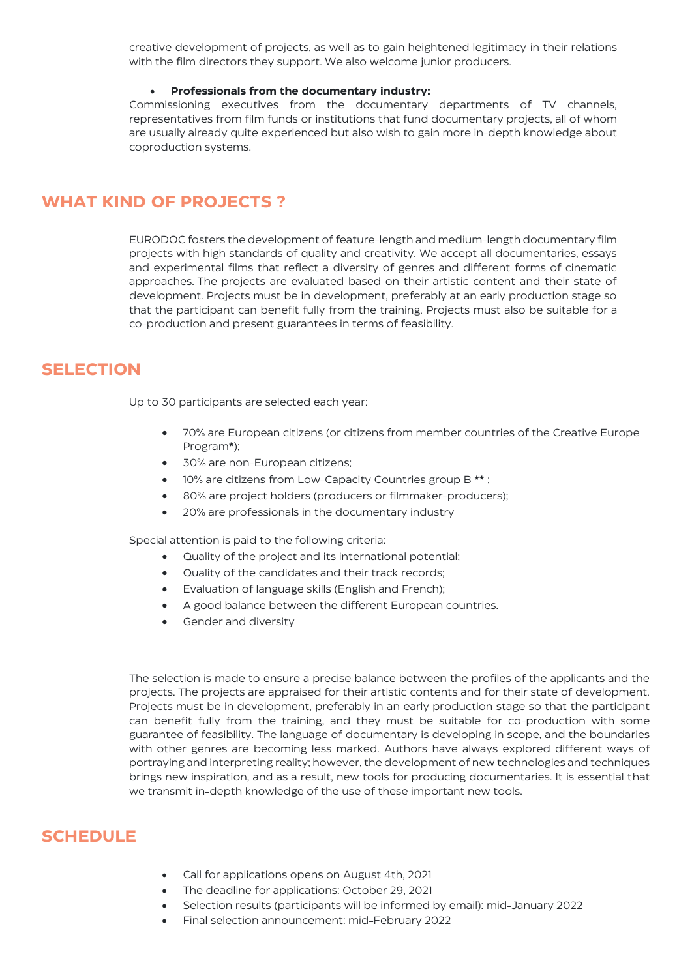creative development of projects, as well as to gain heightened legitimacy in their relations with the film directors they support. We also welcome junior producers.

#### • **Professionals from the documentary industry:**

Commissioning executives from the documentary departments of TV channels, representatives from film funds or institutions that fund documentary projects, all of whom are usually already quite experienced but also wish to gain more in-depth knowledge about coproduction systems.

### **WHAT KIND OF PROJECTS ?**

EURODOC fosters the development of feature-length and medium-length documentary film projects with high standards of quality and creativity. We accept all documentaries, essays and experimental films that reflect a diversity of genres and different forms of cinematic approaches. The projects are evaluated based on their artistic content and their state of development. Projects must be in development, preferably at an early production stage so that the participant can benefit fully from the training. Projects must also be suitable for a co-production and present guarantees in terms of feasibility.

### **SELECTION**

Up to 30 participants are selected each year:

- 70% are European citizens (or citizens from member countries of the Creative Europe Program**\***);
- 30% are non-European citizens;
- 10% are citizens from Low-Capacity Countries group B **\*\*** ;
- 80% are project holders (producers or filmmaker-producers);
- 20% are professionals in the documentary industry

Special attention is paid to the following criteria:

- Quality of the project and its international potential;
- Quality of the candidates and their track records;
- Evaluation of language skills (English and French);
- A good balance between the different European countries.
- Gender and diversity

The selection is made to ensure a precise balance between the profiles of the applicants and the projects. The projects are appraised for their artistic contents and for their state of development. Projects must be in development, preferably in an early production stage so that the participant can benefit fully from the training, and they must be suitable for co-production with some guarantee of feasibility. The language of documentary is developing in scope, and the boundaries with other genres are becoming less marked. Authors have always explored different ways of portraying and interpreting reality; however, the development of new technologies and techniques brings new inspiration, and as a result, new tools for producing documentaries. It is essential that we transmit in-depth knowledge of the use of these important new tools.

### **SCHEDULE**

- Call for applications opens on August 4th, 2021
- The deadline for applications: October 29, 2021
- Selection results (participants will be informed by email): mid-January 2022
- Final selection announcement: mid-February 2022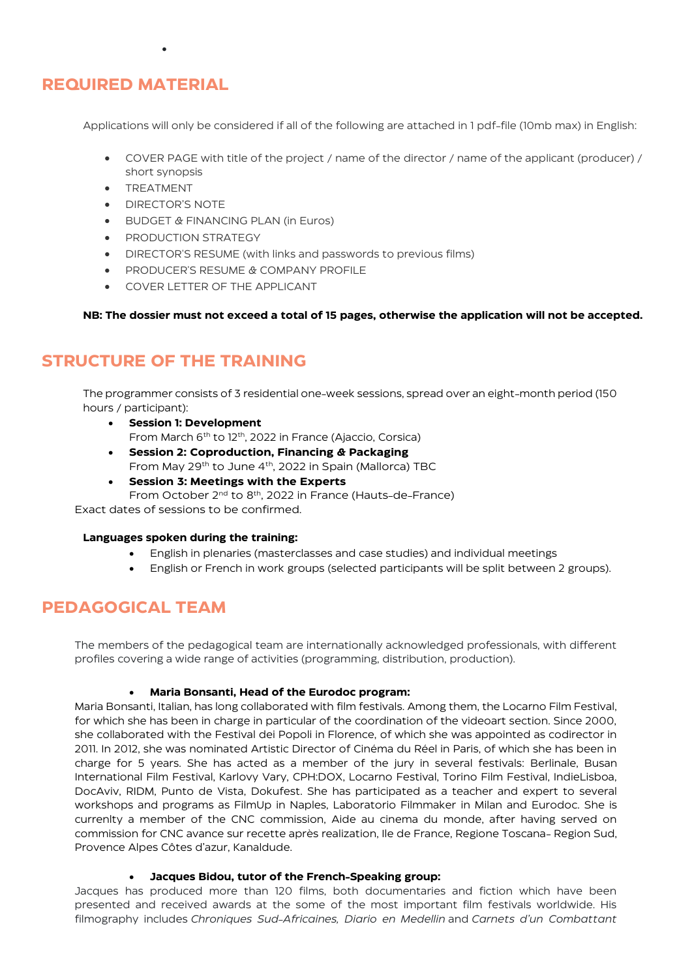# **REQUIRED MATERIAL**

Applications will only be considered if all of the following are attached in 1 pdf-file (10mb max) in English:

- COVER PAGE with title of the project / name of the director / name of the applicant (producer) / short synopsis
- **TREATMENT**
- DIRECTOR'S NOTE

•

- BUDGET & FINANCING PLAN (in Euros)
- PRODUCTION STRATEGY
- DIRECTOR'S RESUME (with links and passwords to previous films)
- PRODUCER'S RESUME & COMPANY PROFILE
- COVER LETTER OF THE APPLICANT

**NB: The dossier must not exceed a total of 15 pages, otherwise the application will not be accepted.**

# **STRUCTURE OF THE TRAINING**

The programmer consists of 3 residential one-week sessions, spread over an eight-month period (150 hours / participant):

- **Session 1: Development** From March 6th to 12th, 2022 in France (Ajaccio, Corsica)
- **Session 2: Coproduction, Financing & Packaging** From May 29th to June 4th, 2022 in Spain (Mallorca) TBC
- **Session 3: Meetings with the Experts** From October 2nd to 8th, 2022 in France (Hauts-de-France)

Exact dates of sessions to be confirmed.

#### **Languages spoken during the training:**

- English in plenaries (masterclasses and case studies) and individual meetings
- English or French in work groups (selected participants will be split between 2 groups).

# **PEDAGOGICAL TEAM**

The members of the pedagogical team are internationally acknowledged professionals, with different profiles covering a wide range of activities (programming, distribution, production).

#### • **Maria Bonsanti, Head of the Eurodoc program:**

Maria Bonsanti, Italian, has long collaborated with film festivals. Among them, the Locarno Film Festival, for which she has been in charge in particular of the coordination of the videoart section. Since 2000, she collaborated with the Festival dei Popoli in Florence, of which she was appointed as codirector in 2011. In 2012, she was nominated Artistic Director of Cinéma du Réel in Paris, of which she has been in charge for 5 years. She has acted as a member of the jury in several festivals: Berlinale, Busan International Film Festival, Karlovy Vary, CPH:DOX, Locarno Festival, Torino Film Festival, IndieLisboa, DocAviv, RIDM, Punto de Vista, Dokufest. She has participated as a teacher and expert to several workshops and programs as FilmUp in Naples, Laboratorio Filmmaker in Milan and Eurodoc. She is currenlty a member of the CNC commission, Aide au cinema du monde, after having served on commission for CNC avance sur recette après realization, Ile de France, Regione Toscana- Region Sud, Provence Alpes Côtes d'azur, Kanaldude.

#### • **Jacques Bidou, tutor of the French-Speaking group:**

Jacques has produced more than 120 films, both documentaries and fiction which have been presented and received awards at the some of the most important film festivals worldwide. His filmography includes *Chroniques Sud-Africaines, Diario en Medellin* and *Carnets d'un Combattant*